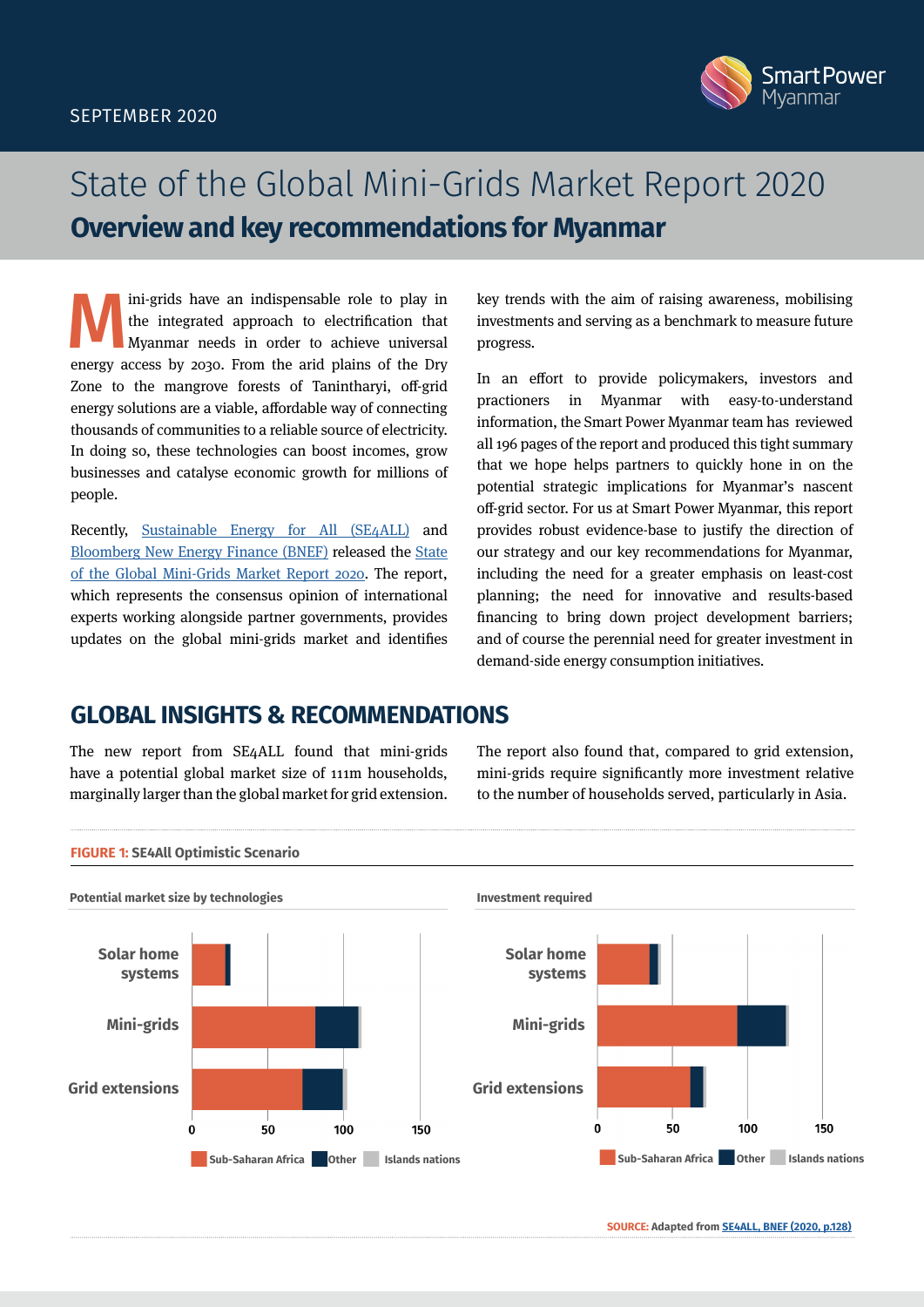

# State of the Global Mini-Grids Market Report 2020 **Overview and key recommendations for Myanmar**

Ini-grids have an indispensable role to play in<br>the integrated approach to electrification that<br>Myanmar needs in order to achieve universal<br>energy access by 2020. From the arid plains of the Dry the integrated approach to electrification that Myanmar needs in order to achieve universal energy access by 2030. From the arid plains of the Dry Zone to the mangrove forests of Tanintharyi, off-grid energy solutions are a viable, affordable way of connecting thousands of communities to a reliable source of electricity. In doing so, these technologies can boost incomes, grow businesses and catalyse economic growth for millions of people.

Recently, [Sustainable Energy for All \(SE4ALL\)](https://www.seforall.org/) and [Bloomberg New Energy Finance \(BNEF\)](https://about.bnef.com/) released the [State](https://www.seforall.org/system/files/2020-06/MGP-2020-SEforALL.pdf)  [of the Global Mini-Grids Market Report 2020.](https://www.seforall.org/system/files/2020-06/MGP-2020-SEforALL.pdf) The report, which represents the consensus opinion of international experts working alongside partner governments, provides updates on the global mini-grids market and identifies

key trends with the aim of raising awareness, mobilising investments and serving as a benchmark to measure future progress.

In an effort to provide policymakers, investors and practioners in Myanmar with easy-to-understand information, the Smart Power Myanmar team has reviewed all 196 pages of the report and produced this tight summary that we hope helps partners to quickly hone in on the potential strategic implications for Myanmar's nascent off-grid sector. For us at Smart Power Myanmar, this report provides robust evidence-base to justify the direction of our strategy and our key recommendations for Myanmar, including the need for a greater emphasis on least-cost planning; the need for innovative and results-based financing to bring down project development barriers; and of course the perennial need for greater investment in demand-side energy consumption initiatives.

# **GLOBAL INSIGHTS & RECOMMENDATIONS**

The new report from SE4ALL found that mini-grids have a potential global market size of 111m households, marginally larger than the global market for grid extension. The report also found that, compared to grid extension, mini-grids require significantly more investment relative to the number of households served, particularly in Asia.



**SOURCE: Adapted from [SE4ALL, BNEF \(2020, p.128\)](https://www.seforall.org/system/files/2020-06/MGP-2020-SEforALL.pdf)**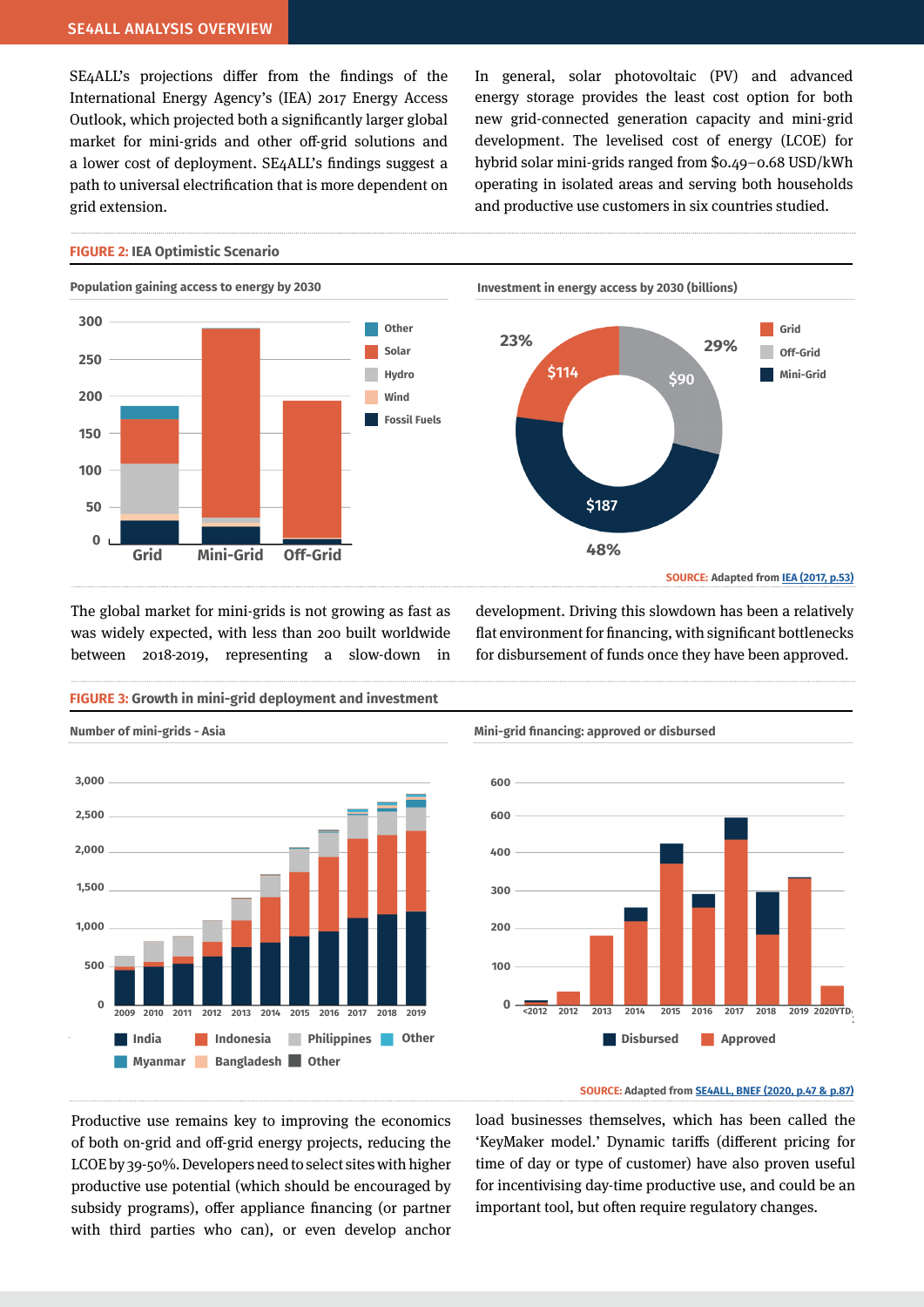SE4ALL's projections differ from the findings of the International Energy Agency's (IEA) 2017 Energy Access Outlook, which projected both a significantly larger global market for mini-grids and other off-grid solutions and a lower cost of deployment. SE4ALL's findings suggest a path to universal electrification that is more dependent on grid extension.

In general, solar photovoltaic (PV) and advanced energy storage provides the least cost option for both new grid-connected generation capacity and mini-grid development. The levelised cost of energy (LCOE) for hybrid solar mini-grids ranged from \$0.49–0.68 USD/kWh operating in isolated areas and serving both households and productive use customers in six countries studied.

#### **FIGURE 2: IEA Optimistic Scenario**



The global market for mini-grids is not growing as fast as was widely expected, with less than 200 built worldwide between 2018-2019, representing a slow-down in

**FIGURE 3: Growth in mini-grid deployment and investment**



development. Driving this slowdown has been a relatively flat environment for financing, with significant bottlenecks for disbursement of funds once they have been approved.



### **SOURCE: Adapted from [SE4ALL, BNEF \(2020, p.47 & p.87\)](https://www.seforall.org/system/files/2020-06/MGP-2020-SEforALL.pdf)**

Productive use remains key to improving the economics of both on-grid and off-grid energy projects, reducing the LCOE by 39-50%. Developers need to select sites with higher productive use potential (which should be encouraged by subsidy programs), offer appliance financing (or partner with third parties who can), or even develop anchor load businesses themselves, which has been called the 'KeyMaker model.' Dynamic tariffs (different pricing for time of day or type of customer) have also proven useful for incentivising day-time productive use, and could be an important tool, but often require regulatory changes.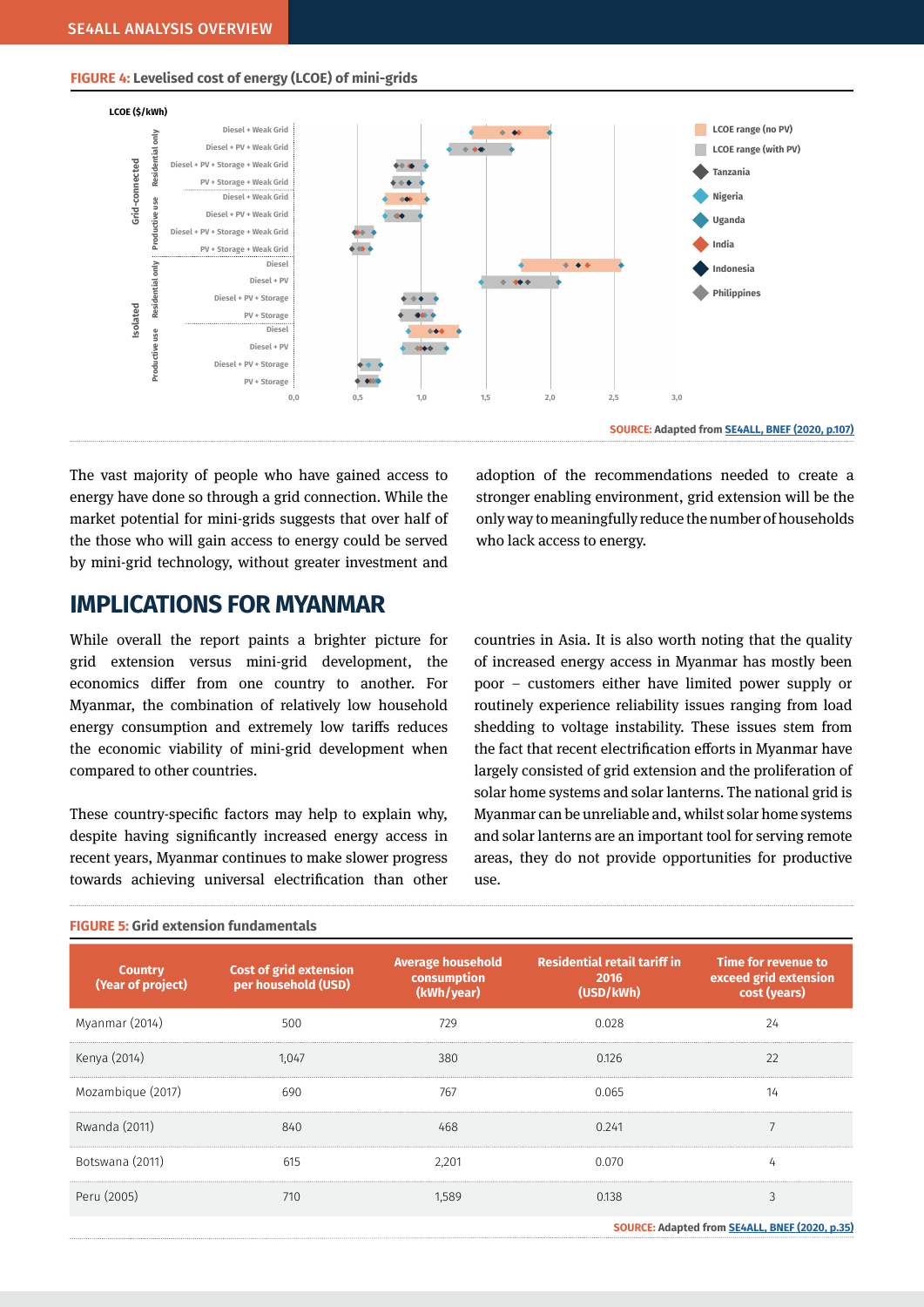### **FIGURE 4: Levelised cost of energy (LCOE) of mini-grids**



**SOURCE: Adapted from [SE4ALL, BNEF \(2020, p.107\)](https://www.seforall.org/system/files/2020-06/MGP-2020-SEforALL.pdf)**

The vast majority of people who have gained access to energy have done so through a grid connection. While the market potential for mini-grids suggests that over half of the those who will gain access to energy could be served by mini-grid technology, without greater investment and

# **IMPLICATIONS FOR MYANMAR**

While overall the report paints a brighter picture for grid extension versus mini-grid development, the economics differ from one country to another. For Myanmar, the combination of relatively low household energy consumption and extremely low tariffs reduces the economic viability of mini-grid development when compared to other countries.

These country-specific factors may help to explain why, despite having significantly increased energy access in recent years, Myanmar continues to make slower progress towards achieving universal electrification than other adoption of the recommendations needed to create a stronger enabling environment, grid extension will be the only way to meaningfully reduce the number of households who lack access to energy.

countries in Asia. It is also worth noting that the quality of increased energy access in Myanmar has mostly been poor – customers either have limited power supply or routinely experience reliability issues ranging from load shedding to voltage instability. These issues stem from the fact that recent electrification efforts in Myanmar have largely consisted of grid extension and the proliferation of solar home systems and solar lanterns. The national grid is Myanmar can be unreliable and, whilst solar home systems and solar lanterns are an important tool for serving remote areas, they do not provide opportunities for productive use.

| <b>Country</b><br>(Year of project) | <b>Cost of grid extension</b><br>per household (USD) | <b>Average household</b><br>consumption<br>(kWh/year) | <b>Residential retail tariff in</b><br>2016<br>(USD/kWh) | Time for revenue to<br>exceed grid extension<br>cost (years) |
|-------------------------------------|------------------------------------------------------|-------------------------------------------------------|----------------------------------------------------------|--------------------------------------------------------------|
| Myanmar (2014)                      | 500                                                  | 729                                                   | 0.028                                                    | 24                                                           |
| Kenya (2014)                        | 1.047                                                | 380                                                   | 0.126                                                    | 22                                                           |
| Mozambique (2017)                   | 690                                                  | 767                                                   | 0.065                                                    | 14                                                           |
| Rwanda (2011)                       | 840                                                  | 468                                                   | 0.241                                                    |                                                              |
| Botswana (2011)                     | 615                                                  | 2.201                                                 | 0.070                                                    |                                                              |
| Peru (2005)                         | 710                                                  | 1.589                                                 | 0.138                                                    | $\overline{ }$                                               |
|                                     |                                                      |                                                       |                                                          | .                                                            |

### **FIGURE 5: Grid extension fundamentals**

**SOURCE: Adapted from [SE4ALL, BNEF \(2020, p.3](https://www.seforall.org/system/files/2020-06/MGP-2020-SEforALL.pdf)5)**